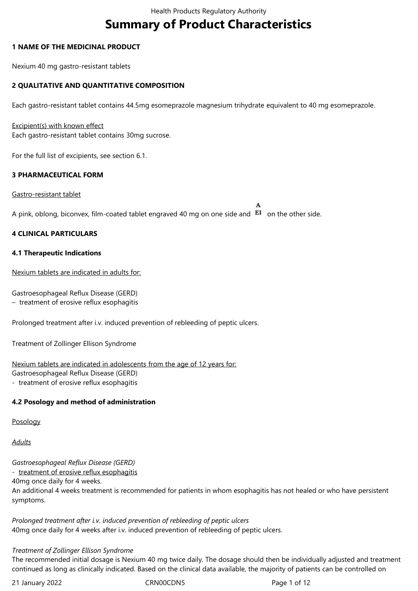# **Summary of Product Characteristics**

## **1 NAME OF THE MEDICINAL PRODUCT**

Nexium 40 mg gastro-resistant tablets

## **2 QUALITATIVE AND QUANTITATIVE COMPOSITION**

Each gastro-resistant tablet contains 44.5mg esomeprazole magnesium trihydrate equivalent to 40 mg esomeprazole.

#### Excipient(s) with known effect Each gastro-resistant tablet contains 30mg sucrose.

For the full list of excipients, see section 6.1.

## **3 PHARMACEUTICAL FORM**

Gastro-resistant tablet

A pink, oblong, biconvex, film-coated tablet engraved 40 mg on one side and  $EI$  on the other side.

## **4 CLINICAL PARTICULARS**

#### **4.1 Therapeutic Indications**

Nexium tablets are indicated in adults for:

Gastroesophageal Reflux Disease (GERD)

– treatment of erosive reflux esophagitis

Prolonged treatment after i.v. induced prevention of rebleeding of peptic ulcers.

Treatment of Zollinger Ellison Syndrome

Nexium tablets are indicated in adolescents from the age of 12 years for:

Gastroesophageal Reflux Disease (GERD)

- treatment of erosive reflux esophagitis

## **4.2 Posology and method of administration**

Posology

*Adults*

*Gastroesophageal Reflux Disease (GERD)* - treatment of erosive reflux esophagitis 40mg once daily for 4 weeks. An additional 4 weeks treatment is recommended for patients in whom esophagitis has not healed or who have persistent symptoms.

*Prolonged treatment after i.v. induced prevention of rebleeding of peptic ulcers* 40mg once daily for 4 weeks after i.v. induced prevention of rebleeding of peptic ulcers.

#### *Treatment of Zollinger Ellison Syndrome*

The recommended initial dosage is Nexium 40 mg twice daily. The dosage should then be individually adjusted and treatment continued as long as clinically indicated. Based on the clinical data available, the majority of patients can be controlled on

21 January 2022 CRN00CDN5 CRNO0CDN5 Page 1 of 12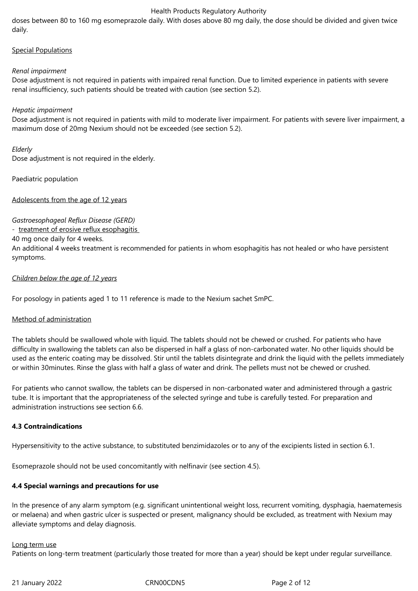doses between 80 to 160 mg esomeprazole daily. With doses above 80 mg daily, the dose should be divided and given twice daily.

#### Special Populations

#### *Renal impairment*

Dose adjustment is not required in patients with impaired renal function. Due to limited experience in patients with severe renal insufficiency, such patients should be treated with caution (see section 5.2).

## *Hepatic impairment*

Dose adjustment is not required in patients with mild to moderate liver impairment. For patients with severe liver impairment, a maximum dose of 20mg Nexium should not be exceeded (see section 5.2).

#### *Elderly*

Dose adjustment is not required in the elderly.

Paediatric population

Adolescents from the age of 12 years

*Gastroesophageal Reflux Disease (GERD)*

- treatment of erosive reflux esophagitis

40 mg once daily for 4 weeks.

An additional 4 weeks treatment is recommended for patients in whom esophagitis has not healed or who have persistent symptoms.

## *Children below the age of 12 years*

For posology in patients aged 1 to 11 reference is made to the Nexium sachet SmPC.

## Method of administration

The tablets should be swallowed whole with liquid. The tablets should not be chewed or crushed. For patients who have difficulty in swallowing the tablets can also be dispersed in half a glass of non-carbonated water. No other liquids should be used as the enteric coating may be dissolved. Stir until the tablets disintegrate and drink the liquid with the pellets immediately or within 30minutes. Rinse the glass with half a glass of water and drink. The pellets must not be chewed or crushed.

For patients who cannot swallow, the tablets can be dispersed in non-carbonated water and administered through a gastric tube. It is important that the appropriateness of the selected syringe and tube is carefully tested. For preparation and administration instructions see section 6.6.

#### **4.3 Contraindications**

Hypersensitivity to the active substance, to substituted benzimidazoles or to any of the excipients listed in section 6.1.

Esomeprazole should not be used concomitantly with nelfinavir (see section 4.5).

#### **4.4 Special warnings and precautions for use**

In the presence of any alarm symptom (e.g. significant unintentional weight loss, recurrent vomiting, dysphagia, haematemesis or melaena) and when gastric ulcer is suspected or present, malignancy should be excluded, as treatment with Nexium may alleviate symptoms and delay diagnosis.

#### Long term use

Patients on long-term treatment (particularly those treated for more than a year) should be kept under regular surveillance.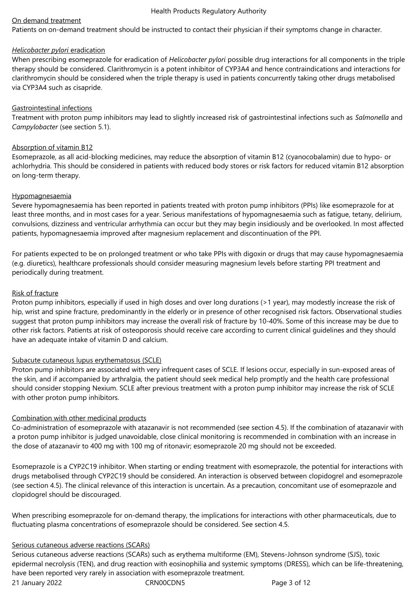## On demand treatment

Patients on on-demand treatment should be instructed to contact their physician if their symptoms change in character.

## *Helicobacter pylori* eradication

When prescribing esomeprazole for eradication of *Helicobacter pylori* possible drug interactions for all components in the triple therapy should be considered. Clarithromycin is a potent inhibitor of CYP3A4 and hence contraindications and interactions for clarithromycin should be considered when the triple therapy is used in patients concurrently taking other drugs metabolised via CYP3A4 such as cisapride.

## Gastrointestinal infections

Treatment with proton pump inhibitors may lead to slightly increased risk of gastrointestinal infections such as *Salmonella* and *Campylobacter* (see section 5.1).

## Absorption of vitamin B12

Esomeprazole, as all acid-blocking medicines, may reduce the absorption of vitamin B12 (cyanocobalamin) due to hypo- or achlorhydria. This should be considered in patients with reduced body stores or risk factors for reduced vitamin B12 absorption on long‑term therapy.

#### Hypomagnesaemia

Severe hypomagnesaemia has been reported in patients treated with proton pump inhibitors (PPIs) like esomeprazole for at least three months, and in most cases for a year. Serious manifestations of hypomagnesaemia such as fatigue, tetany, delirium, convulsions, dizziness and ventricular arrhythmia can occur but they may begin insidiously and be overlooked. In most affected patients, hypomagnesaemia improved after magnesium replacement and discontinuation of the PPI.

For patients expected to be on prolonged treatment or who take PPIs with digoxin or drugs that may cause hypomagnesaemia (e.g. diuretics), healthcare professionals should consider measuring magnesium levels before starting PPI treatment and periodically during treatment.

## Risk of fracture

Proton pump inhibitors, especially if used in high doses and over long durations (>1 year), may modestly increase the risk of hip, wrist and spine fracture, predominantly in the elderly or in presence of other recognised risk factors. Observational studies suggest that proton pump inhibitors may increase the overall risk of fracture by 10‑40%. Some of this increase may be due to other risk factors. Patients at risk of osteoporosis should receive care according to current clinical guidelines and they should have an adequate intake of vitamin D and calcium.

## Subacute cutaneous lupus erythematosus (SCLE)

Proton pump inhibitors are associated with very infrequent cases of SCLE. If lesions occur, especially in sun-exposed areas of the skin, and if accompanied by arthralgia, the patient should seek medical help promptly and the health care professional should consider stopping Nexium. SCLE after previous treatment with a proton pump inhibitor may increase the risk of SCLE with other proton pump inhibitors.

## Combination with other medicinal products

Co-administration of esomeprazole with atazanavir is not recommended (see section 4.5). If the combination of atazanavir with a proton pump inhibitor is judged unavoidable, close clinical monitoring is recommended in combination with an increase in the dose of atazanavir to 400 mg with 100 mg of ritonavir; esomeprazole 20 mg should not be exceeded.

Esomeprazole is a CYP2C19 inhibitor. When starting or ending treatment with esomeprazole, the potential for interactions with drugs metabolised through CYP2C19 should be considered. An interaction is observed between clopidogrel and esomeprazole (see section 4.5). The clinical relevance of this interaction is uncertain. As a precaution, concomitant use of esomeprazole and clopidogrel should be discouraged.

When prescribing esomeprazole for on-demand therapy, the implications for interactions with other pharmaceuticals, due to fluctuating plasma concentrations of esomeprazole should be considered. See section 4.5.

#### Serious cutaneous adverse reactions (SCARs)

21 January 2022 CRN00CDN5 Page 3 of 12 Serious cutaneous adverse reactions (SCARs) such as erythema multiforme (EM), Stevens-Johnson syndrome (SJS), toxic epidermal necrolysis (TEN), and drug reaction with eosinophilia and systemic symptoms (DRESS), which can be life-threatening, have been reported very rarely in association with esomeprazole treatment.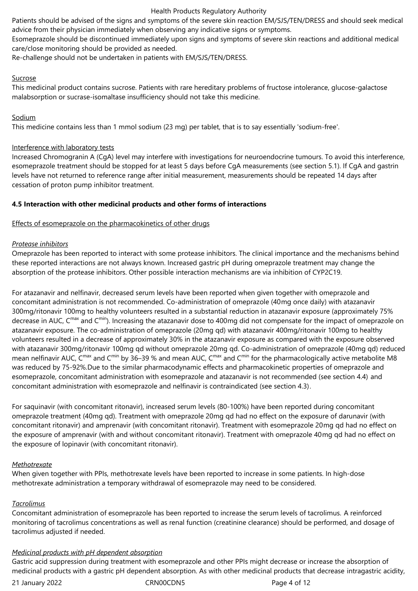Patients should be advised of the signs and symptoms of the severe skin reaction EM/SJS/TEN/DRESS and should seek medical advice from their physician immediately when observing any indicative signs or symptoms.

Esomeprazole should be discontinued immediately upon signs and symptoms of severe skin reactions and additional medical care/close monitoring should be provided as needed.

Re-challenge should not be undertaken in patients with EM/SJS/TEN/DRESS.

## Sucrose

This medicinal product contains sucrose. Patients with rare hereditary problems of fructose intolerance, glucose-galactose malabsorption or sucrase-isomaltase insufficiency should not take this medicine.

## Sodium

This medicine contains less than 1 mmol sodium (23 mg) per tablet, that is to say essentially 'sodium-free'.

## Interference with laboratory tests

Increased Chromogranin A (CgA) level may interfere with investigations for neuroendocrine tumours. To avoid this interference, esomeprazole treatment should be stopped for at least 5 days before CgA measurements (see section 5.1). If CgA and gastrin levels have not returned to reference range after initial measurement, measurements should be repeated 14 days after cessation of proton pump inhibitor treatment.

## **4.5 Interaction with other medicinal products and other forms of interactions**

## Effects of esomeprazole on the pharmacokinetics of other drugs

## *Protease inhibitors*

Omeprazole has been reported to interact with some protease inhibitors. The clinical importance and the mechanisms behind these reported interactions are not always known. Increased gastric pH during omeprazole treatment may change the absorption of the protease inhibitors. Other possible interaction mechanisms are via inhibition of CYP2C19.

For atazanavir and nelfinavir, decreased serum levels have been reported when given together with omeprazole and concomitant administration is not recommended. Co-administration of omeprazole (40mg once daily) with atazanavir 300mg/ritonavir 100mg to healthy volunteers resulted in a substantial reduction in atazanavir exposure (approximately 75% decrease in AUC, C<sup>max</sup> and C<sup>min</sup>). Increasing the atazanavir dose to 400mg did not compensate for the impact of omeprazole on atazanavir exposure. The co-administration of omeprazole (20mg qd) with atazanavir 400mg/ritonavir 100mg to healthy volunteers resulted in a decrease of approximately 30% in the atazanavir exposure as compared with the exposure observed with atazanavir 300mg/ritonavir 100mg qd without omeprazole 20mg qd. Co-administration of omeprazole (40mg qd) reduced mean nelfinavir AUC,  $C^{max}$  and  $C^{min}$  by 36–39 % and mean AUC,  $C^{max}$  and  $C^{min}$  for the pharmacologically active metabolite M8 was reduced by 75-92%.Due to the similar pharmacodynamic effects and pharmacokinetic properties of omeprazole and esomeprazole, concomitant administration with esomeprazole and atazanavir is not recommended (see section 4.4) and concomitant administration with esomeprazole and nelfinavir is contraindicated (see section 4.3).

For saquinavir (with concomitant ritonavir), increased serum levels (80-100%) have been reported during concomitant omeprazole treatment (40mg qd). Treatment with omeprazole 20mg qd had no effect on the exposure of darunavir (with concomitant ritonavir) and amprenavir (with concomitant ritonavir). Treatment with esomeprazole 20mg qd had no effect on the exposure of amprenavir (with and without concomitant ritonavir). Treatment with omeprazole 40mg qd had no effect on the exposure of lopinavir (with concomitant ritonavir).

## *Methotrexate*

When given together with PPIs, methotrexate levels have been reported to increase in some patients. In high-dose methotrexate administration a temporary withdrawal of esomeprazole may need to be considered.

## *Tacrolimus*

Concomitant administration of esomeprazole has been reported to increase the serum levels of tacrolimus. A reinforced monitoring of tacrolimus concentrations as well as renal function (creatinine clearance) should be performed, and dosage of tacrolimus adjusted if needed.

## *Medicinal products with pH dependent absorption*

Gastric acid suppression during treatment with esomeprazole and other PPIs might decrease or increase the absorption of medicinal products with a gastric pH dependent absorption. As with other medicinal products that decrease intragastric acidity,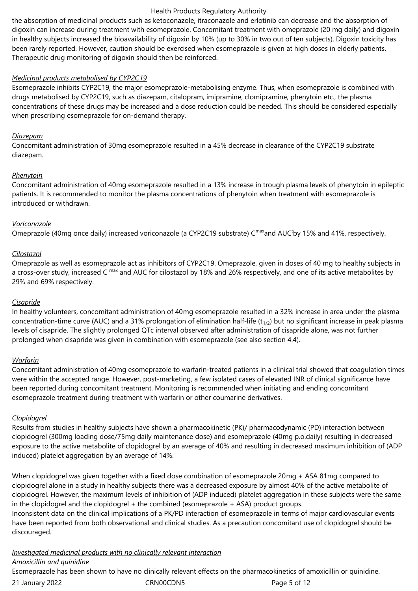the absorption of medicinal products such as ketoconazole, itraconazole and erlotinib can decrease and the absorption of digoxin can increase during treatment with esomeprazole. Concomitant treatment with omeprazole (20 mg daily) and digoxin in healthy subjects increased the bioavailability of digoxin by 10% (up to 30% in two out of ten subjects). Digoxin toxicity has been rarely reported. However, caution should be exercised when esomeprazole is given at high doses in elderly patients. Therapeutic drug monitoring of digoxin should then be reinforced.

## *Medicinal products metabolised by CYP2C19*

Esomeprazole inhibits CYP2C19, the major esomeprazole-metabolising enzyme. Thus, when esomeprazole is combined with drugs metabolised by CYP2C19, such as diazepam, citalopram, imipramine, clomipramine, phenytoin etc., the plasma concentrations of these drugs may be increased and a dose reduction could be needed. This should be considered especially when prescribing esomeprazole for on-demand therapy.

## *Diazepam*

Concomitant administration of 30mg esomeprazole resulted in a 45% decrease in clearance of the CYP2C19 substrate diazepam.

## *Phenytoin*

Concomitant administration of 40mg esomeprazole resulted in a 13% increase in trough plasma levels of phenytoin in epileptic patients. It is recommended to monitor the plasma concentrations of phenytoin when treatment with esomeprazole is introduced or withdrawn.

## *Voriconazole*

Omeprazole (40mg once daily) increased voriconazole (a CYP2C19 substrate) C<sup>max</sup>and AUC<sup>t</sup>by 15% and 41%, respectively.

## *Cilostazol*

Omeprazole as well as esomeprazole act as inhibitors of CYP2C19. Omeprazole, given in doses of 40 mg to healthy subjects in a cross-over study, increased C max and AUC for cilostazol by 18% and 26% respectively, and one of its active metabolites by 29% and 69% respectively.

#### *Cisapride*

In healthy volunteers, concomitant administration of 40mg esomeprazole resulted in a 32% increase in area under the plasma concentration-time curve (AUC) and a 31% prolongation of elimination half-life  $(t_{1/2})$  but no significant increase in peak plasma levels of cisapride. The slightly prolonged QTc interval observed after administration of cisapride alone, was not further prolonged when cisapride was given in combination with esomeprazole (see also section 4.4).

#### *Warfarin*

Concomitant administration of 40mg esomeprazole to warfarin-treated patients in a clinical trial showed that coagulation times were within the accepted range. However, post-marketing, a few isolated cases of elevated INR of clinical significance have been reported during concomitant treatment. Monitoring is recommended when initiating and ending concomitant esomeprazole treatment during treatment with warfarin or other coumarine derivatives.

## *Clopidogrel*

Results from studies in healthy subjects have shown a pharmacokinetic (PK)/ pharmacodynamic (PD) interaction between clopidogrel (300mg loading dose/75mg daily maintenance dose) and esomeprazole (40mg p.o.daily) resulting in decreased exposure to the active metabolite of clopidogrel by an average of 40% and resulting in decreased maximum inhibition of (ADP induced) platelet aggregation by an average of 14%.

When clopidogrel was given together with a fixed dose combination of esomeprazole 20mg + ASA 81mg compared to clopidogrel alone in a study in healthy subjects there was a decreased exposure by almost 40% of the active metabolite of clopidogrel. However, the maximum levels of inhibition of (ADP induced) platelet aggregation in these subjects were the same in the clopidogrel and the clopidogrel  $+$  the combined (esomeprazole  $+$  ASA) product groups. Inconsistent data on the clinical implications of a PK/PD interaction of esomeprazole in terms of major cardiovascular events have been reported from both observational and clinical studies. As a precaution concomitant use of clopidogrel should be

#### *Investigated medicinal products with no clinically relevant interaction Amoxicillin and quinidine*

Esomeprazole has been shown to have no clinically relevant effects on the pharmacokinetics of amoxicillin or quinidine.

21 January 2022 CRN00CDN5 Page 5 of 12

discouraged.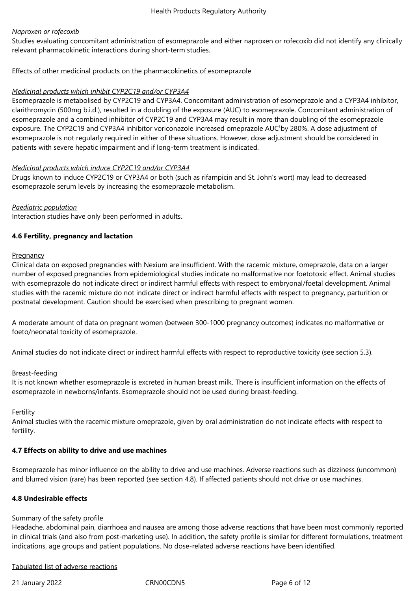## *Naproxen or rofecoxib*

Studies evaluating concomitant administration of esomeprazole and either naproxen or rofecoxib did not identify any clinically relevant pharmacokinetic interactions during short-term studies.

## Effects of other medicinal products on the pharmacokinetics of esomeprazole

## *Medicinal products which inhibit CYP2C19 and/or CYP3A4*

Esomeprazole is metabolised by CYP2C19 and CYP3A4. Concomitant administration of esomeprazole and a CYP3A4 inhibitor, clarithromycin (500mg b.i.d.), resulted in a doubling of the exposure (AUC) to esomeprazole. Concomitant administration of esomeprazole and a combined inhibitor of CYP2C19 and CYP3A4 may result in more than doubling of the esomeprazole exposure. The CYP2C19 and CYP3A4 inhibitor voriconazole increased omeprazole AUC<sup>t</sup>by 280%. A dose adjustment of esomeprazole is not regularly required in either of these situations. However, dose adjustment should be considered in patients with severe hepatic impairment and if long-term treatment is indicated.

## *Medicinal products which induce CYP2C19 and/or CYP3A4*

Drugs known to induce CYP2C19 or CYP3A4 or both (such as rifampicin and St. John's wort) may lead to decreased esomeprazole serum levels by increasing the esomeprazole metabolism.

## *Paediatric population*

Interaction studies have only been performed in adults.

## **4.6 Fertility, pregnancy and lactation**

#### **Pregnancy**

Clinical data on exposed pregnancies with Nexium are insufficient. With the racemic mixture, omeprazole, data on a larger number of exposed pregnancies from epidemiological studies indicate no malformative nor foetotoxic effect. Animal studies with esomeprazole do not indicate direct or indirect harmful effects with respect to embryonal/foetal development. Animal studies with the racemic mixture do not indicate direct or indirect harmful effects with respect to pregnancy, parturition or postnatal development. Caution should be exercised when prescribing to pregnant women.

A moderate amount of data on pregnant women (between 300-1000 pregnancy outcomes) indicates no malformative or foeto/neonatal toxicity of esomeprazole.

Animal studies do not indicate direct or indirect harmful effects with respect to reproductive toxicity (see section 5.3).

#### Breast-feeding

It is not known whether esomeprazole is excreted in human breast milk. There is insufficient information on the effects of esomeprazole in newborns/infants. Esomeprazole should not be used during breast-feeding.

#### Fertility

Animal studies with the racemic mixture omeprazole, given by oral administration do not indicate effects with respect to fertility.

## **4.7 Effects on ability to drive and use machines**

Esomeprazole has minor influence on the ability to drive and use machines. Adverse reactions such as dizziness (uncommon) and blurred vision (rare) has been reported (see section 4.8). If affected patients should not drive or use machines.

#### **4.8 Undesirable effects**

#### Summary of the safety profile

Headache, abdominal pain, diarrhoea and nausea are among those adverse reactions that have been most commonly reported in clinical trials (and also from post-marketing use). In addition, the safety profile is similar for different formulations, treatment indications, age groups and patient populations. No dose-related adverse reactions have been identified.

## Tabulated list of adverse reactions

21 January 2022 CRN00CDN5 Page 6 of 12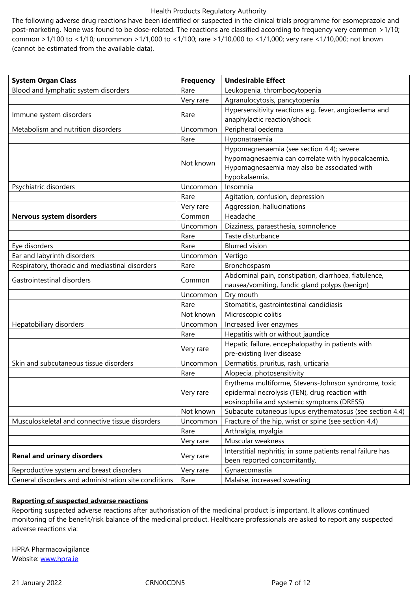common  $\geq$ 1/100 to <1/10; uncommon  $\geq$ 1/1,000 to <1/100; rare  $\geq$ 1/10,000 to <1/1,000; very rare <1/10,000; not known (cannot be estimated from the available data).

| <b>System Organ Class</b>                            | <b>Frequency</b> | <b>Undesirable Effect</b>                                  |
|------------------------------------------------------|------------------|------------------------------------------------------------|
| Blood and lymphatic system disorders                 | Rare             | Leukopenia, thrombocytopenia                               |
|                                                      | Very rare        | Agranulocytosis, pancytopenia                              |
|                                                      |                  | Hypersensitivity reactions e.g. fever, angioedema and      |
| Immune system disorders                              | Rare             | anaphylactic reaction/shock                                |
| Metabolism and nutrition disorders                   | Uncommon         | Peripheral oedema                                          |
|                                                      | Rare             | Hyponatraemia                                              |
|                                                      |                  | Hypomagnesaemia (see section 4.4); severe                  |
|                                                      | Not known        | hypomagnesaemia can correlate with hypocalcaemia.          |
|                                                      |                  | Hypomagnesaemia may also be associated with                |
|                                                      |                  | hypokalaemia.                                              |
| Psychiatric disorders                                | Uncommon         | Insomnia                                                   |
|                                                      | Rare             | Agitation, confusion, depression                           |
|                                                      | Very rare        | Aggression, hallucinations                                 |
| <b>Nervous system disorders</b>                      | Common           | Headache                                                   |
|                                                      | Uncommon         | Dizziness, paraesthesia, somnolence                        |
|                                                      | Rare             | Taste disturbance                                          |
| Eye disorders                                        | Rare             | <b>Blurred</b> vision                                      |
| Ear and labyrinth disorders                          | Uncommon         | Vertigo                                                    |
| Respiratory, thoracic and mediastinal disorders      | Rare             | Bronchospasm                                               |
| Gastrointestinal disorders                           | Common           | Abdominal pain, constipation, diarrhoea, flatulence,       |
|                                                      |                  | nausea/vomiting, fundic gland polyps (benign)              |
|                                                      | Uncommon         | Dry mouth                                                  |
|                                                      | Rare             | Stomatitis, gastrointestinal candidiasis                   |
|                                                      | Not known        | Microscopic colitis                                        |
| Hepatobiliary disorders                              | Uncommon         | Increased liver enzymes                                    |
|                                                      | Rare             | Hepatitis with or without jaundice                         |
|                                                      | Very rare        | Hepatic failure, encephalopathy in patients with           |
|                                                      |                  | pre-existing liver disease                                 |
| Skin and subcutaneous tissue disorders               | Uncommon         | Dermatitis, pruritus, rash, urticaria                      |
|                                                      | Rare             | Alopecia, photosensitivity                                 |
|                                                      |                  | Erythema multiforme, Stevens-Johnson syndrome, toxic       |
|                                                      | Very rare        | epidermal necrolysis (TEN), drug reaction with             |
|                                                      |                  | eosinophilia and systemic symptoms (DRESS)                 |
|                                                      | Not known        | Subacute cutaneous lupus erythematosus (see section 4.4)   |
| Musculoskeletal and connective tissue disorders      | Uncommon         | Fracture of the hip, wrist or spine (see section 4.4)      |
|                                                      | Rare             | Arthralgia, myalgia                                        |
|                                                      | Very rare        | Muscular weakness                                          |
| <b>Renal and urinary disorders</b>                   | Very rare        | Interstitial nephritis; in some patients renal failure has |
|                                                      |                  | been reported concomitantly.                               |
| Reproductive system and breast disorders             | Very rare        | Gynaecomastia                                              |
| General disorders and administration site conditions | Rare             | Malaise, increased sweating                                |

## **Reporting of suspected adverse reactions**

Reporting suspected adverse reactions after authorisation of the medicinal product is important. It allows continued monitoring of the benefit/risk balance of the medicinal product. Healthcare professionals are asked to report any suspected adverse reactions via:

HPRA Pharmacovigilance Website: www.hpra.ie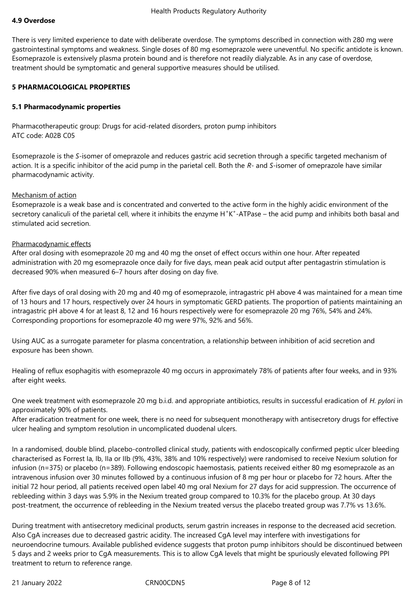#### **4.9 Overdose**

There is very limited experience to date with deliberate overdose. The symptoms described in connection with 280 mg were gastrointestinal symptoms and weakness. Single doses of 80 mg esomeprazole were uneventful. No specific antidote is known. Esomeprazole is extensively plasma protein bound and is therefore not readily dialyzable. As in any case of overdose, treatment should be symptomatic and general supportive measures should be utilised.

#### **5 PHARMACOLOGICAL PROPERTIES**

#### **5.1 Pharmacodynamic properties**

Pharmacotherapeutic group: Drugs for acid-related disorders, proton pump inhibitors ATC code: A02B C05

Esomeprazole is the *S*-isomer of omeprazole and reduces gastric acid secretion through a specific targeted mechanism of action. It is a specific inhibitor of the acid pump in the parietal cell. Both the *R*- and *S*-isomer of omeprazole have similar pharmacodynamic activity.

#### Mechanism of action

Esomeprazole is a weak base and is concentrated and converted to the active form in the highly acidic environment of the secretory canaliculi of the parietal cell, where it inhibits the enzyme H<sup>+</sup>K<sup>+</sup>-ATPase – the acid pump and inhibits both basal and stimulated acid secretion.

#### Pharmacodynamic effects

After oral dosing with esomeprazole 20 mg and 40 mg the onset of effect occurs within one hour. After repeated administration with 20 mg esomeprazole once daily for five days, mean peak acid output after pentagastrin stimulation is decreased 90% when measured 6–7 hours after dosing on day five.

After five days of oral dosing with 20 mg and 40 mg of esomeprazole, intragastric pH above 4 was maintained for a mean time of 13 hours and 17 hours, respectively over 24 hours in symptomatic GERD patients. The proportion of patients maintaining an intragastric pH above 4 for at least 8, 12 and 16 hours respectively were for esomeprazole 20 mg 76%, 54% and 24%. Corresponding proportions for esomeprazole 40 mg were 97%, 92% and 56%.

Using AUC as a surrogate parameter for plasma concentration, a relationship between inhibition of acid secretion and exposure has been shown.

Healing of reflux esophagitis with esomeprazole 40 mg occurs in approximately 78% of patients after four weeks, and in 93% after eight weeks.

One week treatment with esomeprazole 20 mg b.i.d. and appropriate antibiotics, results in successful eradication of *H. pylori* in approximately 90% of patients.

After eradication treatment for one week, there is no need for subsequent monotherapy with antisecretory drugs for effective ulcer healing and symptom resolution in uncomplicated duodenal ulcers.

In a randomised, double blind, placebo-controlled clinical study, patients with endoscopically confirmed peptic ulcer bleeding characterised as Forrest Ia, Ib, IIa or IIb (9%, 43%, 38% and 10% respectively) were randomised to receive Nexium solution for infusion (n=375) or placebo (n=389). Following endoscopic haemostasis, patients received either 80 mg esomeprazole as an intravenous infusion over 30 minutes followed by a continuous infusion of 8 mg per hour or placebo for 72 hours. After the initial 72 hour period, all patients received open label 40 mg oral Nexium for 27 days for acid suppression. The occurrence of rebleeding within 3 days was 5.9% in the Nexium treated group compared to 10.3% for the placebo group. At 30 days post-treatment, the occurrence of rebleeding in the Nexium treated versus the placebo treated group was 7.7% vs 13.6%.

During treatment with antisecretory medicinal products, serum gastrin increases in response to the decreased acid secretion. Also CgA increases due to decreased gastric acidity. The increased CgA level may interfere with investigations for neuroendocrine tumours. Available published evidence suggests that proton pump inhibitors should be discontinued between 5 days and 2 weeks prior to CgA measurements. This is to allow CgA levels that might be spuriously elevated following PPI treatment to return to reference range.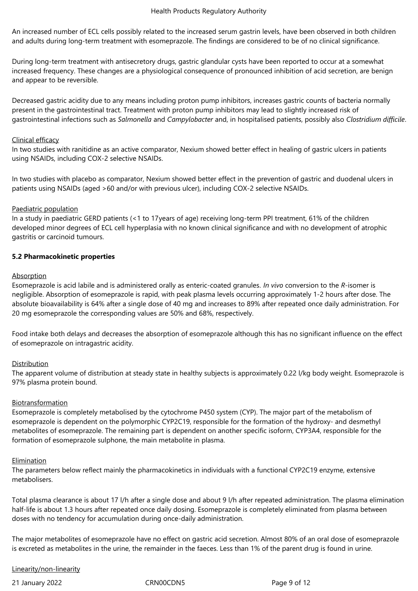An increased number of ECL cells possibly related to the increased serum gastrin levels, have been observed in both children and adults during long-term treatment with esomeprazole. The findings are considered to be of no clinical significance.

During long-term treatment with antisecretory drugs, gastric glandular cysts have been reported to occur at a somewhat increased frequency. These changes are a physiological consequence of pronounced inhibition of acid secretion, are benign and appear to be reversible.

Decreased gastric acidity due to any means including proton pump inhibitors, increases gastric counts of bacteria normally present in the gastrointestinal tract. Treatment with proton pump inhibitors may lead to slightly increased risk of gastrointestinal infections such as *Salmonella* and *Campylobacter* and, in hospitalised patients, possibly also *Clostridium difficile*.

#### Clinical efficacy

In two studies with ranitidine as an active comparator, Nexium showed better effect in healing of gastric ulcers in patients using NSAIDs, including COX-2 selective NSAIDs.

In two studies with placebo as comparator, Nexium showed better effect in the prevention of gastric and duodenal ulcers in patients using NSAIDs (aged >60 and/or with previous ulcer), including COX-2 selective NSAIDs.

#### Paediatric population

In a study in paediatric GERD patients (<1 to 17 years of age) receiving long-term PPI treatment, 61% of the children developed minor degrees of ECL cell hyperplasia with no known clinical significance and with no development of atrophic gastritis or carcinoid tumours.

#### **5.2 Pharmacokinetic properties**

#### Absorption

Esomeprazole is acid labile and is administered orally as enteric-coated granules. *In vivo* conversion to the *R*-isomer is negligible. Absorption of esomeprazole is rapid, with peak plasma levels occurring approximately 1-2 hours after dose. The absolute bioavailability is 64% after a single dose of 40 mg and increases to 89% after repeated once daily administration. For 20 mg esomeprazole the corresponding values are 50% and 68%, respectively.

Food intake both delays and decreases the absorption of esomeprazole although this has no significant influence on the effect of esomeprazole on intragastric acidity.

#### **Distribution**

The apparent volume of distribution at steady state in healthy subjects is approximately 0.22 l/kg body weight. Esomeprazole is 97% plasma protein bound.

#### **Biotransformation**

Esomeprazole is completely metabolised by the cytochrome P450 system (CYP). The major part of the metabolism of esomeprazole is dependent on the polymorphic CYP2C19, responsible for the formation of the hydroxy- and desmethyl metabolites of esomeprazole. The remaining part is dependent on another specific isoform, CYP3A4, responsible for the formation of esomeprazole sulphone, the main metabolite in plasma.

#### Elimination

The parameters below reflect mainly the pharmacokinetics in individuals with a functional CYP2C19 enzyme, extensive metabolisers.

Total plasma clearance is about 17 l/h after a single dose and about 9 l/h after repeated administration. The plasma elimination half-life is about 1.3 hours after repeated once daily dosing. Esomeprazole is completely eliminated from plasma between doses with no tendency for accumulation during once-daily administration.

The major metabolites of esomeprazole have no effect on gastric acid secretion. Almost 80% of an oral dose of esomeprazole is excreted as metabolites in the urine, the remainder in the faeces. Less than 1% of the parent drug is found in urine.

Linearity/non-linearity

21 January 2022 CRN00CDN5 Page 9 of 12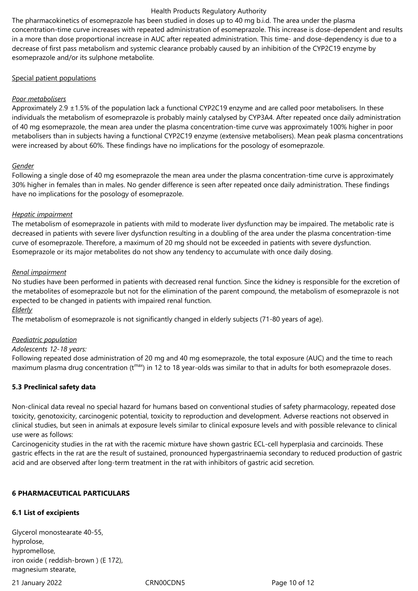The pharmacokinetics of esomeprazole has been studied in doses up to 40 mg b.i.d. The area under the plasma concentration-time curve increases with repeated administration of esomeprazole. This increase is dose-dependent and results in a more than dose proportional increase in AUC after repeated administration. This time- and dose-dependency is due to a decrease of first pass metabolism and systemic clearance probably caused by an inhibition of the CYP2C19 enzyme by esomeprazole and/or its sulphone metabolite.

## Special patient populations

## *Poor metabolisers*

Approximately 2.9 ±1.5% of the population lack a functional CYP2C19 enzyme and are called poor metabolisers. In these individuals the metabolism of esomeprazole is probably mainly catalysed by CYP3A4. After repeated once daily administration of 40 mg esomeprazole, the mean area under the plasma concentration-time curve was approximately 100% higher in poor metabolisers than in subjects having a functional CYP2C19 enzyme (extensive metabolisers). Mean peak plasma concentrations were increased by about 60%. These findings have no implications for the posology of esomeprazole.

#### *Gender*

Following a single dose of 40 mg esomeprazole the mean area under the plasma concentration-time curve is approximately 30% higher in females than in males. No gender difference is seen after repeated once daily administration. These findings have no implications for the posology of esomeprazole.

## *Hepatic impairment*

The metabolism of esomeprazole in patients with mild to moderate liver dysfunction may be impaired. The metabolic rate is decreased in patients with severe liver dysfunction resulting in a doubling of the area under the plasma concentration-time curve of esomeprazole. Therefore, a maximum of 20 mg should not be exceeded in patients with severe dysfunction. Esomeprazole or its major metabolites do not show any tendency to accumulate with once daily dosing.

## *Renal impairment*

No studies have been performed in patients with decreased renal function. Since the kidney is responsible for the excretion of the metabolites of esomeprazole but not for the elimination of the parent compound, the metabolism of esomeprazole is not expected to be changed in patients with impaired renal function.

*Elderly*

The metabolism of esomeprazole is not significantly changed in elderly subjects (71-80 years of age).

#### *Paediatric population*

#### *Adolescents 12-18 years:*

Following repeated dose administration of 20 mg and 40 mg esomeprazole, the total exposure (AUC) and the time to reach maximum plasma drug concentration ( $t^{max}$ ) in 12 to 18 year-olds was similar to that in adults for both esomeprazole doses.

## **5.3 Preclinical safety data**

Non-clinical data reveal no special hazard for humans based on conventional studies of safety pharmacology, repeated dose toxicity, genotoxicity, carcinogenic potential, toxicity to reproduction and development. Adverse reactions not observed in clinical studies, but seen in animals at exposure levels similar to clinical exposure levels and with possible relevance to clinical use were as follows:

Carcinogenicity studies in the rat with the racemic mixture have shown gastric ECL-cell hyperplasia and carcinoids. These gastric effects in the rat are the result of sustained, pronounced hypergastrinaemia secondary to reduced production of gastric acid and are observed after long-term treatment in the rat with inhibitors of gastric acid secretion.

#### **6 PHARMACEUTICAL PARTICULARS**

## **6.1 List of excipients**

Glycerol monostearate 40-55, hyprolose, hypromellose, iron oxide ( reddish-brown ) (E 172), magnesium stearate,

21 January 2022 CRN00CDN5 Page 10 of 12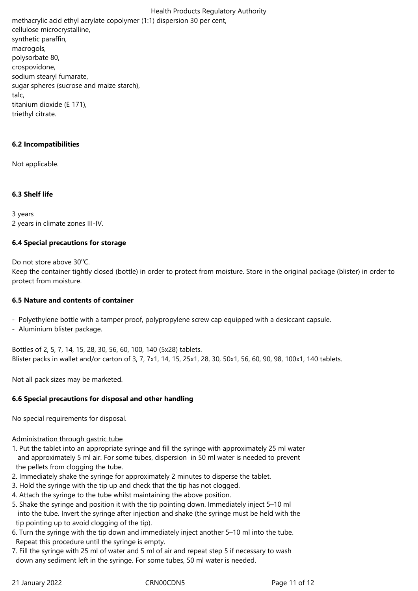Health Products Regulatory Authority methacrylic acid ethyl acrylate copolymer (1:1) dispersion 30 per cent, cellulose microcrystalline, synthetic paraffin, macrogols, polysorbate 80, crospovidone, sodium stearyl fumarate, sugar spheres (sucrose and maize starch), talc, titanium dioxide (E 171),

triethyl citrate.

## **6.2 Incompatibilities**

Not applicable.

## **6.3 Shelf life**

3 years 2 years in climate zones III-IV.

## **6.4 Special precautions for storage**

Do not store above 30°C.

Keep the container tightly closed (bottle) in order to protect from moisture. Store in the original package (blister) in order to protect from moisture.

#### **6.5 Nature and contents of container**

- Polyethylene bottle with a tamper proof, polypropylene screw cap equipped with a desiccant capsule.

- Aluminium blister package.

Bottles of 2, 5, 7, 14, 15, 28, 30, 56, 60, 100, 140 (5x28) tablets. Blister packs in wallet and/or carton of 3, 7, 7x1, 14, 15, 25x1, 28, 30, 50x1, 56, 60, 90, 98, 100x1, 140 tablets.

Not all pack sizes may be marketed.

# **6.6 Special precautions for disposal and other handling**

No special requirements for disposal.

## Administration through gastric tube

- 1. Put the tablet into an appropriate syringe and fill the syringe with approximately 25 ml water and approximately 5 ml air. For some tubes, dispersion in 50 ml water is needed to prevent the pellets from clogging the tube.
- 2. Immediately shake the syringe for approximately 2 minutes to disperse the tablet.
- 3. Hold the syringe with the tip up and check that the tip has not clogged.
- 4. Attach the syringe to the tube whilst maintaining the above position.
- 5. Shake the syringe and position it with the tip pointing down. Immediately inject 5–10 ml into the tube. Invert the syringe after injection and shake (the syringe must be held with the tip pointing up to avoid clogging of the tip).
- 6. Turn the syringe with the tip down and immediately inject another 5–10 ml into the tube. Repeat this procedure until the syringe is empty.
- 7. Fill the syringe with 25 ml of water and 5 ml of air and repeat step 5 if necessary to wash down any sediment left in the syringe. For some tubes, 50 ml water is needed.